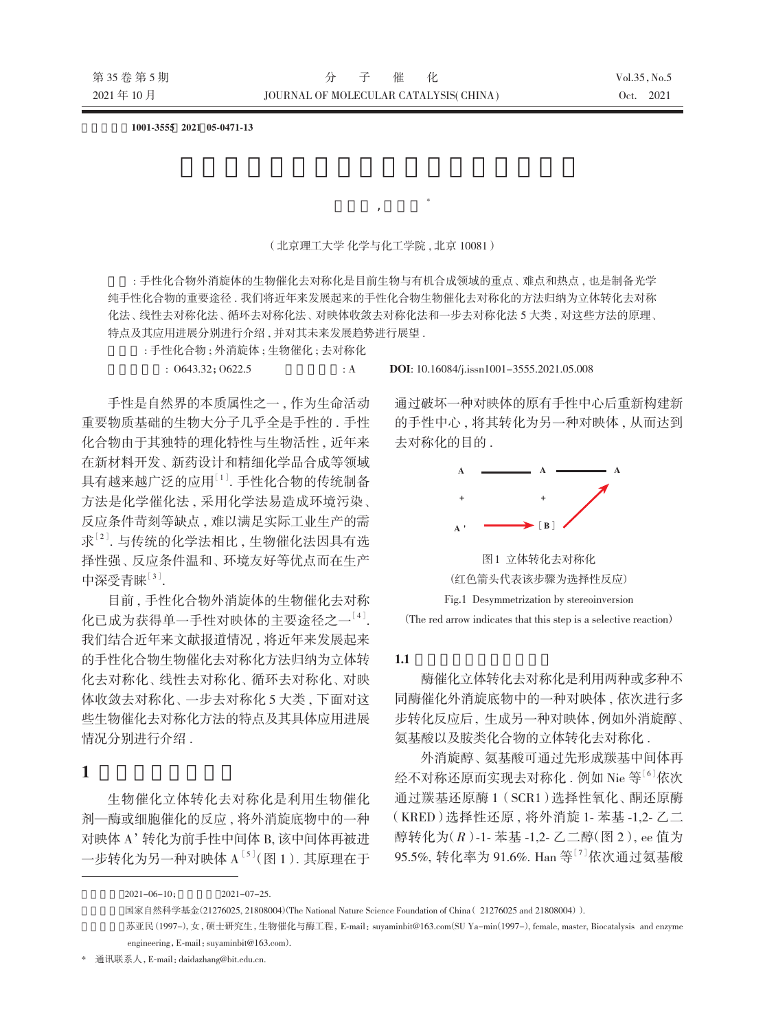文章编号:**1001-3555 2021 05-0471-13**

(北京理工大学 化学与化工学院 , 北京 10081)

苏亚民 , 戴大章 \*

摘要 : 手性化合物外消旋体的生物催化去对称化是目前生物与有机合成领域的重点、 难点和热点 , 也是制备光学 纯手性化合物的重要途径 . 我们将近年来发展起来的手性化合物生物催化去对称化的方法归纳为立体转化去对称 化法、 线性去对称化法、 循环去对称化法、 对映体收敛去对称化法和一步去对称化法 5 大类 , 对这些方法的原理、 特点及其应用进展分别进行介绍 , 并对其未来发展趋势进行展望 .

关键词 : 手性化合物 ; 外消旋体 ; 生物催化 ; 去对称化

手性是自然界的本质属性之一 , 作为生命活动 重要物质基础的生物大分子几乎全是手性的 . 手性 化合物由于其独特的理化特性与生物活性 , 近年来 在新材料开发、 新药设计和精细化学品合成等领域 具有越来越广泛的应用[1]. 手性化合物的传统制备 方法是化学催化法 , 采用化学法易造成环境污染、 反应条件苛刻等缺点 , 难以满足实际工业生产的需 求[2]. 与传统的化学法相比 , 生物催化法因具有选 择性强、 反应条件温和、 环境友好等优点而在生产 中深受青睐[3].

目前 , 手性化合物外消旋体的生物催化去对称 化已成为获得单一手性对映体的主要途径之一[4]. 我们结合近年来文献报道情况 , 将近年来发展起来 的手性化合物生物催化去对称化方法归纳为立体转 化去对称化、线性去对称化、循环去对称化、对映 体收敛去对称化、 一步去对称化 5 大类 , 下面对这 些生物催化去对称化方法的特点及其具体应用进展 情况分别进行介绍.

**1** 立体转化去对称化

生物催化立体转化去对称化是利用生物催化 剂—酶或细胞催化的反应 , 将外消旋底物中的一种 对映体 A'转化为前手性中间体 B, 该中间体再被进 一步转化为另一种对映体 A[5](图 1). 其原理在于

 $\therefore$  O643.32; O622.5  $\therefore$  A DOI: 10.16084/j.issn1001-3555.2021.05.008

通过破坏一种对映体的原有手性中心后重新构建新 的手性中心 , 将其转化为另一种对映体 , 从而达到 去对称化的目的 .



图 1 立体转化去对称化 (红色箭头代表该步骤为选择性反应) Fig.1 Desymmetrization by stereoinversion

(The red arrow indicates that this step is a selective reaction)

## **1.1** 酶催化立体转化去对称化

酶催化立体转化去对称化是利用两种或多种不 同酶催化外消旋底物中的一种对映体 , 依次进行多 步转化反应后 , 生成另一种对映体 , 例如外消旋醇、 氨基酸以及胺类化合物的立体转化去对称化 .

外消旋醇、氨基酸可通过先形成羰基中间体再 经不对称还原而实现去对称化 . 例如 Nie 等<sup>[6]</sup>依次 通过羰基还原酶 1 (SCR1)选择性氧化、酮还原酶 (KRED)选择性还原 , 将外消旋 1- 苯基 -1,2- 乙二 醇转化为(R)-1- 苯基-1,2- 乙二醇(图 2), ee 值为 95.5%, 转化率为 91.6%. Han 等<sup>[7]</sup>依次通过氨基酸

 $2021-06-10$ ;  $2021-07-25$ . 国家自然科学基金(21276025, 21808004) (The National Nature Science Foundation of China (21276025 and 21808004)). 苏亚民 (1997-), 女, 硕士研究生, 生物催化与酶工程, E-mail: suyaminbit@163.com(SU Ya-min(1997-), female, master, Biocatalysis and enzyme engineering, E-mail: suyaminbit@163.com).

<sup>\*</sup> 通讯联系人,E-mail:daidazhang@bit.edu.cn.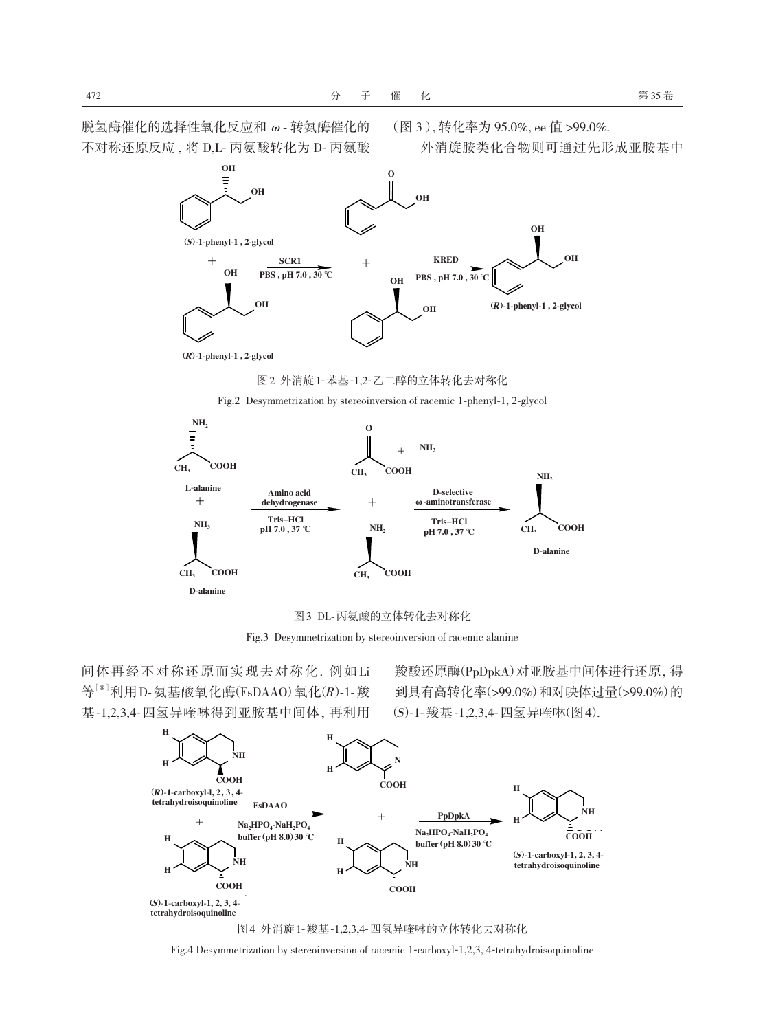外消旋胺类化合物则可通过先形成亚胺基中



(R)-1-phenyl-1, 2-glycol (R)-1-phenyl-1 , 2-glycol

脱氢酶催化的选择性氧化反应和ω- 转氨酶催化的 不对称还原反应 , 将 D,L- 丙氨酸转化为 D- 丙氨酸

图 2 外消旋 1-苯基-1,2-乙二醇的立体转化去对称化



Fig.2 Desymmetrization by stereoinversion of racemic 1-phenyl-1, 2-glycol



Fig.3 Desymmetrization by stereoinversion of racemic alanine

间 体 再 经 不 对 称 还 原 而 实 现 去 对 称 化 . 例 如 Li 等<sup>[8]</sup>利用D-氨基酸氧化酶(FsDAAO)氧化(R)-1-羧 基-1,2,3,4-四氢异喹啉得到亚胺基中间体 , 再利用

羧酸还原酶(PpDpkA)对亚胺基中间体进行还原 , 得 到具有高转化率(>99.0%)和对映体过量(>99.0%)的 (S)-1-羧基-1,2,3,4-四氢异喹啉(图 4).





Fig.4 Desymmetrization by stereoinversion of racemic 1-carboxyl-1,2,3, 4-tetrahydroisoquinoline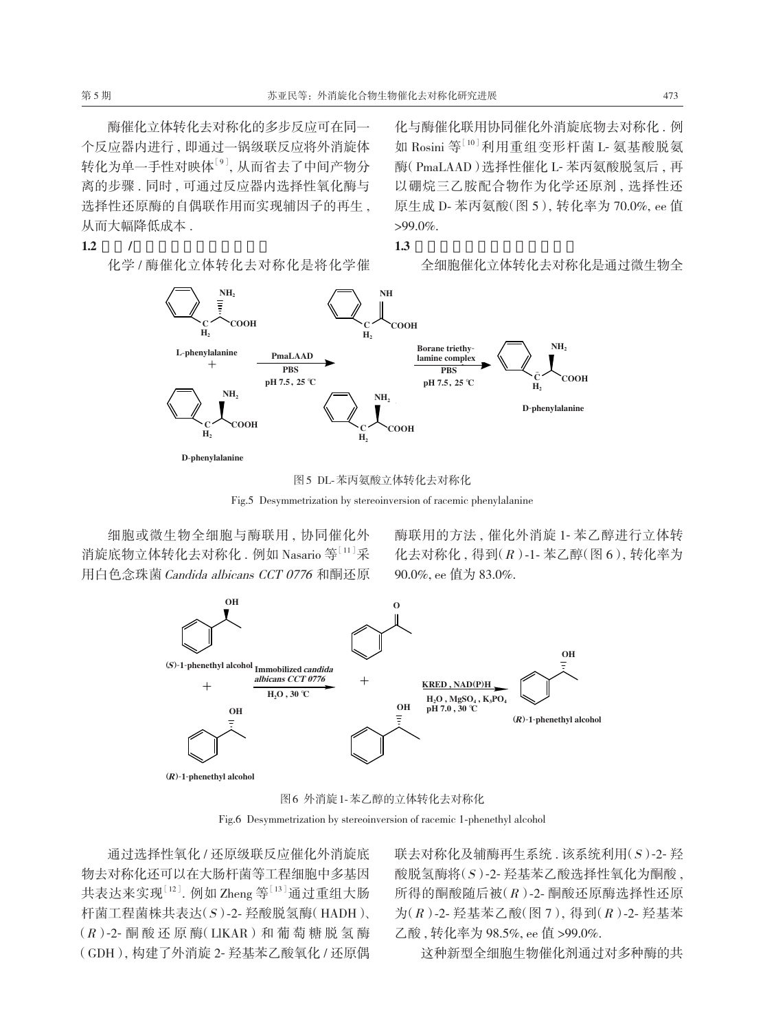酶催化立体转化去对称化的多步反应可在同一 个反应器内进行 , 即通过一锅级联反应将外消旋体 转化为单一手性对映体[9], 从而省去了中间产物分 离的步骤 . 同时 , 可通过反应器内选择性氧化酶与 选择性还原酶的自偶联作用而实现辅因子的再生 , 从而大幅降低成本 .

**1.2** /

化学 / 酶催化立体转化去对称化是将化学催

化与酶催化联用协同催化外消旋底物去对称化 . 例 如 Rosini 等[10]利用重组变形杆菌 L- 氨基酸脱氨 酶(PmaLAAD)选择性催化 L- 苯丙氨酸脱氢后 , 再 以硼烷三乙胺配合物作为化学还原剂 , 选择性还 原生成 D- 苯丙氨酸(图 5), 转化率为 70.0%, ee 值 >99.0%.

**1.3** 全细胞催化立体转化去对称化

全细胞催化立体转化去对称化是通过微生物全



图 5 DL-苯丙氨酸立体转化去对称化



细胞或微生物全细胞与酶联用 , 协同催化外 消旋底物立体转化去对称化. 例如 Nasario 等 $^{[11]}$ 采 用白色念珠菌Candida albicans CCT 0776 和酮还原 酶联用的方法 , 催化外消旋 1- 苯乙醇进行立体转 化去对称化 , 得到(R)-1- 苯乙醇(图 6), 转化率为 90.0%, ee 值为 83.0%.



图 6 外消旋 1-苯乙醇的立体转化去对称化

Fig.6 Desymmetrization by stereoinversion of racemic 1-phenethyl alcohol

通过选择性氧化 / 还原级联反应催化外消旋底 物去对称化还可以在大肠杆菌等工程细胞中多基因 共表达来实现 $^{[12]}$ . 例如 Zheng 等 $^{[13]}$ 通过重组大肠 杆菌工程菌株共表达(S)-2- 羟酸脱氢酶(HADH)、  $(R)$ -2- 酮酸还原酶(LIKAR)和葡萄糖脱氢酶 (GDH), 构建了外消旋 2- 羟基苯乙酸氧化 / 还原偶

联去对称化及辅酶再生系统 . 该系统利用(S)-2- 羟 酸脱氢酶将(S)-2- 羟基苯乙酸选择性氧化为酮酸 , 所得的酮酸随后被(R)-2- 酮酸还原酶选择性还原 为(R)-2- 羟基苯乙酸(图 7), 得到(R)-2- 羟基苯 乙酸 , 转化率为 98.5%, ee 值 >99.0%.

这种新型全细胞生物催化剂通过对多种酶的共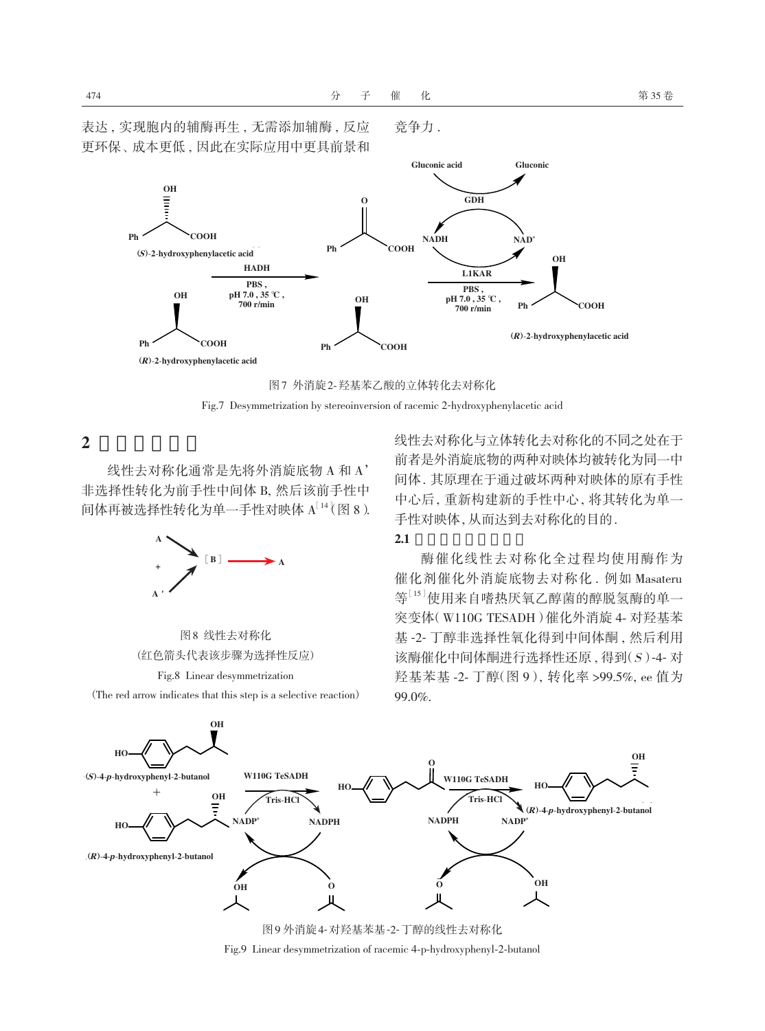竞争力 .



图 7 外消旋 2-羟基苯乙酸的立体转化去对称化

Fig.7 Desymmetrization by stereoinversion of racemic 2-hydroxyphenylacetic acid

**2** 线性去对称化

线性去对称化通常是先将外消旋底物 A 和 A' 非选择性转化为前手性中间体 B, 然后该前手性中 间体再被选择性转化为单一手性对映体 A[14](图 8).



图 8 线性去对称化 (红色箭头代表该步骤为选择性反应)

Fig.8 Linear desymmetrization

(The red arrow indicates that this step is a selective reaction)

线性去对称化与立体转化去对称化的不同之处在于 前者是外消旋底物的两种对映体均被转化为同一中 间体 . 其原理在于通过破坏两种对映体的原有手性 中心后 , 重新构建新的手性中心 , 将其转化为单一 手性对映体, 从而达到去对称化的目的.

#### **2.1** 酶催化线性去对称化

酶催化线性去对称化全过程均使用酶作为 催化剂催化外消旋底物去对称化 . 例如 Masateru 等[15]使用来自嗜热厌氧乙醇菌的醇脱氢酶的单一 突变体(W110G TESADH)催化外消旋 4- 对羟基苯 基 -2- 丁醇非选择性氧化得到中间体酮 , 然后利用 该酶催化中间体酮进行选择性还原 , 得到(S)-4- 对 羟基苯基 -2- 丁醇(图 9), 转化率 >99.5%, ee 值为 99.0%.



Fig.9 Linear desymmetrization of racemic 4-p-hydroxyphenyl-2-butanol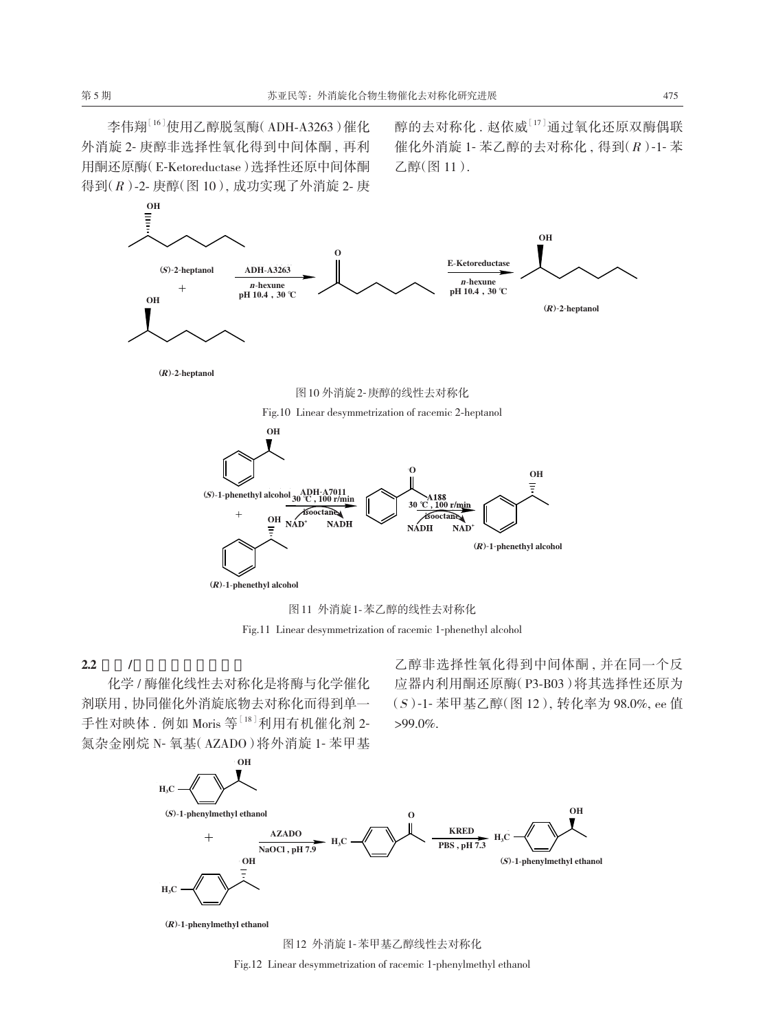李伟翔<sup>[16]</sup>使用乙醇脱氢酶(ADH-A3263)催化 外消旋 2- 庚醇非选择性氧化得到中间体酮 , 再利 用酮还原酶(E-Ketoreductase)选择性还原中间体酮 得到(R)-2- 庚醇(图 10), 成功实现了外消旋 2- 庚 醇的去对称化 . 赵依威[17]通过氧化还原双酶偶联 催化外消旋 1- 苯乙醇的去对称化 , 得到(R)-1- 苯 乙醇(图 11).





Fig.11 Linear desymmetrization of racemic 1-phenethyl alcohol

**2.2** /

化学 / 酶催化线性去对称化是将酶与化学催化 剂联用 , 协同催化外消旋底物去对称化而得到单一 手性对映体. 例如 Moris 等<sup>[18]</sup>利用有机催化剂 2-氮杂金刚烷 N- 氧基(AZADO)将外消旋 1- 苯甲基

乙醇非选择性氧化得到中间体酮 , 并在同一个反 应器内利用酮还原酶(P3-B03)将其选择性还原为 (S)-1- 苯甲基乙醇(图 12), 转化率为 98.0%, ee 值  $>99.0\%$ .





图 12 外消旋 1-苯甲基乙醇线性去对称化

Fig.12 Linear desymmetrization of racemic 1-phenylmethyl ethanol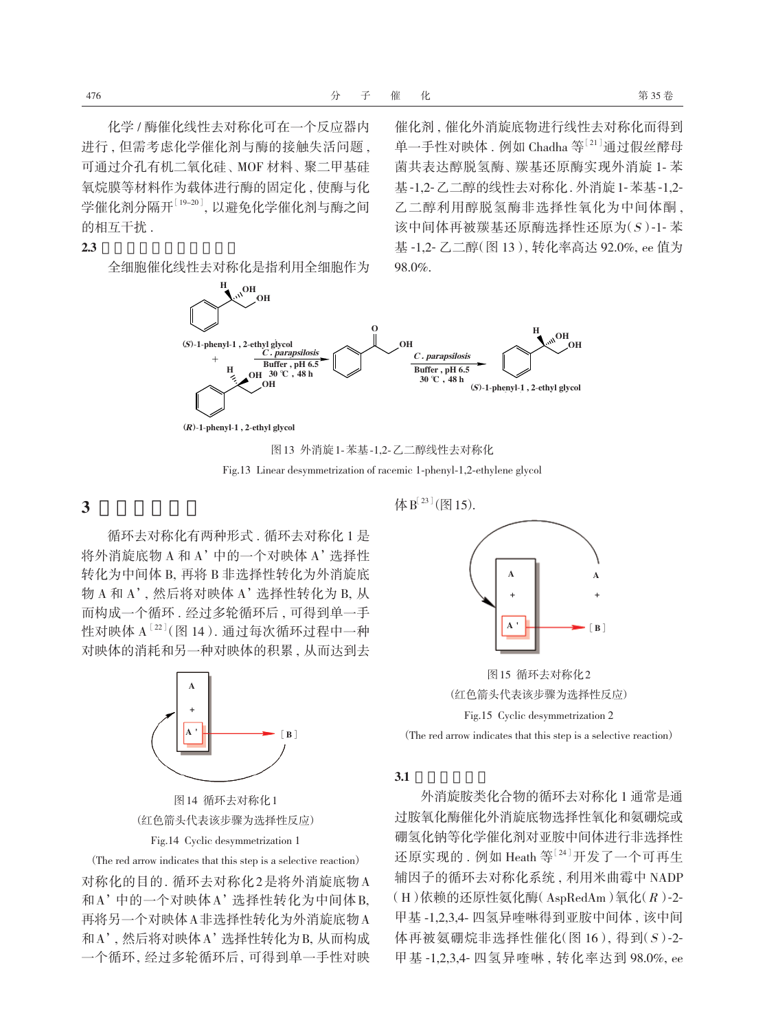化学 / 酶催化线性去对称化可在一个反应器内 进行 , 但需考虑化学催化剂与酶的接触失活问题 , 可通过介孔有机二氧化硅、MOF 材料、聚二甲基硅 氧烷膜等材料作为载体进行酶的固定化 , 使酶与化 学催化剂分隔开[19-20], 以避免化学催化剂与酶之间 的相互干扰 .

#### **2.3** 全细胞催化线性去对称化

全细胞催化线性去对称化是指利用全细胞作为

催化剂 , 催化外消旋底物进行线性去对称化而得到 单一手性对映体 . 例如 Chadha 等 $^{[21]}$ 通过假丝酵母 菌共表达醇脱氢酶、羰基还原酶实现外消旋 1- 苯 基-1,2-乙二醇的线性去对称化 . 外消旋 1-苯基-1,2- 乙二醇利用醇脱氢酶非选择性氧化为中间体酮 , 该中间体再被羰基还原酶选择性还原为(S)-1- 苯 基 -1,2- 乙二醇(图 13), 转化率高达 92.0%, ee 值为 98.0%.



<sup>(</sup>R)-1-phenyl-1,2-ethyl glycol (R)-1-phenyl-1 , 2-ethyl glycol

图 13 外消旋 1-苯基-1,2-乙二醇线性去对称化 Fig.13 Linear desymmetrization of racemic 1-phenyl-1,2-ethylene glycol

**3** 循环去对称化

循环去对称化有两种形式 . 循环去对称化 1 是 将外消旋底物 A 和 A'中的一个对映体 A'选择性 转化为中间体 B, 再将 B 非选择性转化为外消旋底 物 A 和 A', 然后将对映体 A'选择性转化为 B, 从 而构成一个循环 . 经过多轮循环后 , 可得到单一手 性对映体 A[22](图 14). 通过每次循环过程中一种 对映体的消耗和另一种对映体的积累 , 从而达到去



图 14 循环去对称化 1 (红色箭头代表该步骤为选择性反应) Fig.14 Cyclic desymmetrization 1

(The red arrow indicates that this step is a selective reaction) 对称化的目的. 循环去对称化2是将外消旋底物A 和A'中的一个对映体A'选择性转化为中间体B, 再将另一个对映体A非选择性转化为外消旋底物A 和 A', 然后将对映体 A'选择性转化为 B, 从而构成 一个循环 , 经过多轮循环后 , 可得到单一手性对映 体 $B^{[23]}$ (图15).



图 15 循环去对称化 2 (红色箭头代表该步骤为选择性反应) Fig.15 Cyclic desymmetrization 2 (The red arrow indicates that this step is a selective reaction)

**3.1** 胺及胺衍生物

外消旋胺类化合物的循环去对称化 1 通常是通 过胺氧化酶催化外消旋底物选择性氧化和氨硼烷或 硼氢化钠等化学催化剂对亚胺中间体进行非选择性 还原实现的. 例如 Heath 等[24] 开发了一个可再生 辅因子的循环去对称化系统 , 利用米曲霉中 NADP (H)依赖的还原性氨化酶(AspRedAm)氧化(R)-2- 甲基 -1,2,3,4- 四氢异喹啉得到亚胺中间体 , 该中间 体再被氨硼烷非选择性催化(图 16), 得到(S)-2- 甲基 -1,2,3,4- 四氢异喹啉 , 转化率达到 98.0%, ee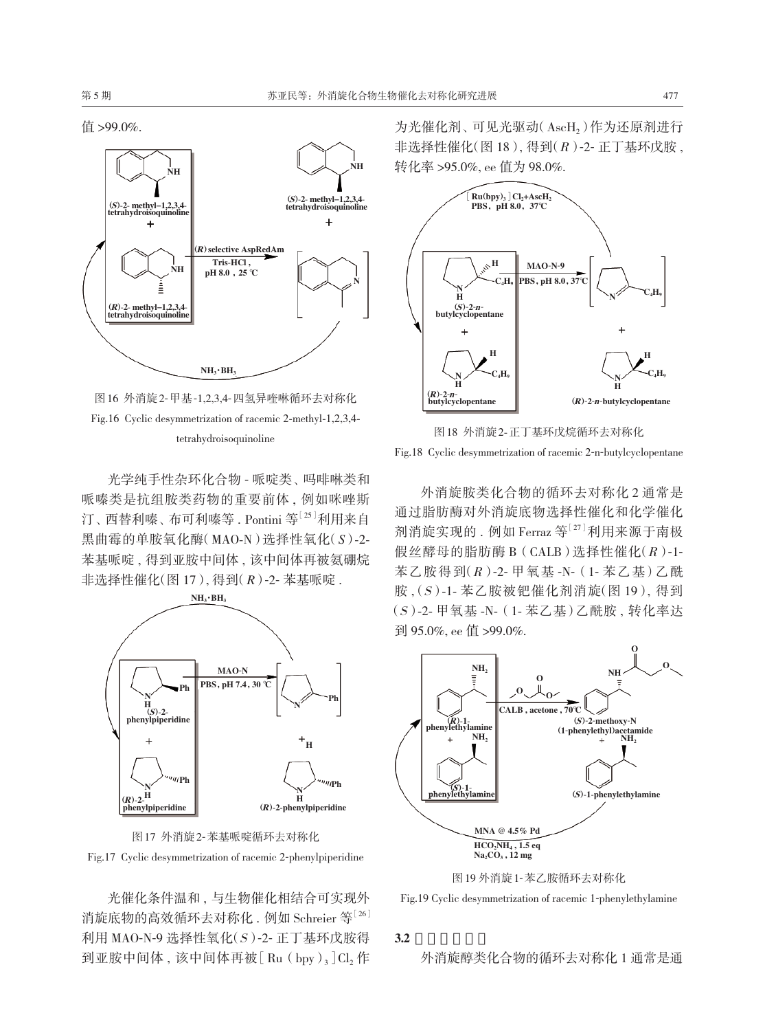

图 16 外消旋 2-甲基-1,2,3,4-四氢异喹啉循环去对称化 Fig.16 Cyclic desymmetrization of racemic 2-methyl-1,2,3,4 tetrahydroisoquinoline

光学纯手性杂环化合物 - 哌啶类、吗啡啉类和 哌嗪类是抗组胺类药物的重要前体 , 例如咪唑斯 汀、 西替利嗪、 布可利嗪等 . Pontini 等[25]利用来自 黑曲霉的单胺氧化酶(MAO-N)选择性氧化(*S*)-2- 苯基哌啶 , 得到亚胺中间体 , 该中间体再被氨硼烷 非选择性催化(图 17), 得到(*R*)-2- 苯基哌啶 .





光催化条件温和 , 与生物催化相结合可实现外 消旋底物的高效循环夫对称化, 例如 Schreier 等<sup>[26]</sup> 利用 MAO-N-9 选择性氧化(S)-2- 正丁基环戊胺得 到亚胺中间体,该中间体再被 $[$  Ru $($  bpy $)$ <sub>3</sub> $]$ Cl<sub>2</sub> 作

为光催化剂、可见光驱动(AscH,)作为还原剂进行 非选择性催化 $($ 图 18 $)$ , 得到 $(R)$ -2- 正丁基环戊胺, 转化率 >95.0%, ee 值为 98.0%.



图 18 外消旋 2-正丁基环戊烷循环去对称化 Fig.18 Cyclic desymmetrization of racemic 2-n-butylcyclopentane

外消旋胺类化合物的循环去对称化 2 通常是 通过脂肪酶对外消旋底物选择性催化和化学催化 剂消旋实现的 . 例如 Ferraz 等[27]利用来源于南极 假丝酵母的脂肪酶 B(CALB)选择性催化(R)-1- 苯乙胺得到(R)-2- 甲氧基 -N-(1- 苯乙基)乙酰 胺 , (S)-1- 苯乙胺被钯催化剂消旋(图 19), 得到 (S)-2- 甲氧基 -N-(1- 苯乙基)乙酰胺 , 转化率达 到 95.0%, ee 值 >99.0%.





Fig.19 Cyclic desymmetrization of racemic 1-phenylethylamine

#### **3.2** 醇及其衍生物

外消旋醇类化合物的循环去对称化 1 通常是通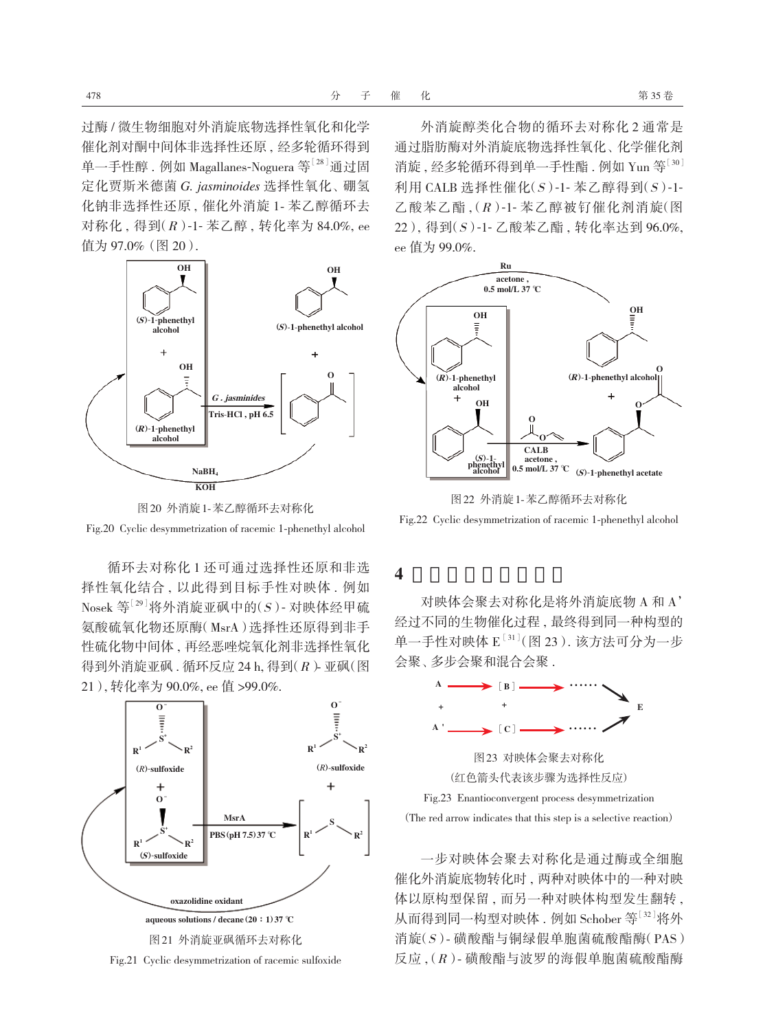过酶 / 微生物细胞对外消旋底物选择性氧化和化学 催化剂对酮中间体非选择性还原 , 经多轮循环得到 单一手性醇. 例如 Magallanes-Noguera 等<sup>[28]</sup>通过固 定化贾斯米德菌 *G. jasminoides* 选择性氧化、 硼氢 化钠非选择性还原 , 催化外消旋 1- 苯乙醇循环去 对称化 , 得到(R)-1- 苯乙醇 , 转化率为 84.0%, ee 值为 97.0%(图 20).





循环去对称化 1 还可通过选择性还原和非选 择性氧化结合 , 以此得到目标手性对映体 . 例如  $Nosek$  等 $[29]$  将外消旋亚砜中的 $(S)$  - 对映体经甲硫 氨酸硫氧化物还原酶(MsrA)选择性还原得到非手 性硫化物中间体 , 再经恶唑烷氧化剂非选择性氧化 得到外消旋亚砜 . 循环反应 24 h, 得到(R)- 亚砜(图 21), 转化率为 90.0%, ee 值 >99.0%.



外消旋醇类化合物的循环去对称化 2 通常是 通过脂肪酶对外消旋底物选择性氧化、化学催化剂 消旋, 经多轮循环得到单一手性酯. 例如 Yun 等<sup>[30]</sup> 利用 CALB 选择性催化 $(S)$ -1- 苯乙醇得到 $(S)$ -1-乙酸苯乙酯 , (R)-1- 苯乙醇被钌催化剂消旋(图 22), 得到(S)-1- 乙酸苯乙酯 , 转化率达到 96.0%, ee 值为 99.0%.



图 22 外消旋 1-苯乙醇循环去对称化

Fig.22 Cyclic desymmetrization of racemic 1-phenethyl alcohol

# **4** 对映体会聚去对称化

对映体会聚去对称化是将外消旋底物 A 和 A' 经过不同的生物催化过程 , 最终得到同一种构型的 单一手性对映体 E<sup>[31]</sup>(图 23). 该方法可分为一步 会聚、多步会聚和混合会聚



一步对映体会聚去对称化是通过酶或全细胞 催化外消旋底物转化时 , 两种对映体中的一种对映 体以原构型保留 , 而另一种对映体构型发生翻转 , 从而得到同一构型对映体. 例如 Schober 等<sup>[32]</sup>将外 消旋(S)- 磺酸酯与铜绿假单胞菌硫酸酯酶(PAS) 反应 , (R)- 磺酸酯与波罗的海假单胞菌硫酸酯酶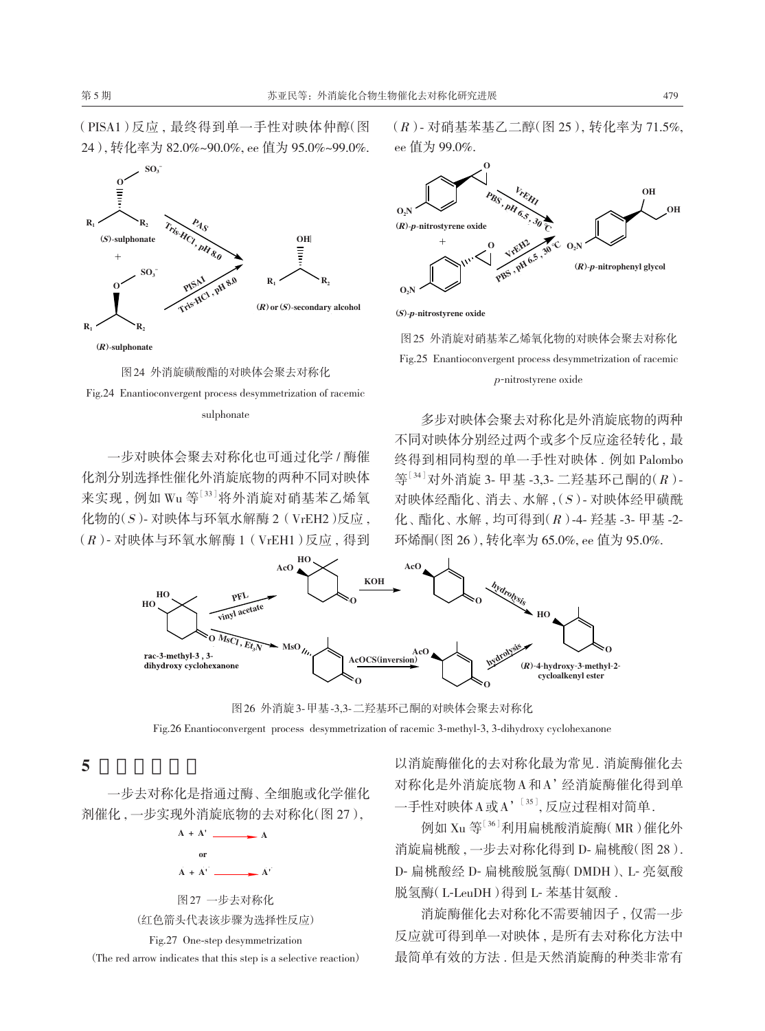(PISA1)反应 , 最终得到单一手性对映体仲醇(图 24), 转化率为 82.0%~90.0%, ee 值为 95.0%~99.0%.



图 24 外消旋磺酸酯的对映体会聚去对称化



一步对映体会聚去对称化也可通过化学 / 酶催 化剂分别选择性催化外消旋底物的两种不同对映体 来实现, 例如 Wu 等[33]将外消旋对硝基苯乙烯氧  $f(x) = \pm \sqrt{2}$  化物的 $f(x) = \pm \sqrt{2}$  (VrEH2)反应,  $(R)$ - 对映体与环氧水解酶 1 (VrEH1)反应, 得到

(R)- 对硝基苯基乙二醇(图 25), 转化率为 71.5%, ee 值为 99.0%.



(S)-p-nitrostyrene oxide (S)-p-nitrostyrene oxide

图 25 外消旋对硝基苯乙烯氧化物的对映体会聚去对称化 Fig.25 Enantioconvergent process desymmetrization of racemic <sup>p</sup>-nitrostyrene oxide

多步对映体会聚去对称化是外消旋底物的两种 不同对映体分别经过两个或多个反应途径转化 , 最 终得到相同构型的单一手性对映体 . 例如 Palombo  $\mathfrak{S}^{[34]}$ 对外消旋 3- 甲基 -3,3- 二羟基环己酮的 $(R)$ -对映体经酯化、消去、水解, (S)- 对映体经甲磺酰 化、 酯化、 水解 , 均可得到(R)-4- 羟基 -3- 甲基 -2- 环烯酮(图 26), 转化率为 65.0%, ee 值为 95.0%.



图 26 外消旋 3-甲基-3,3-二羟基环己酮的对映体会聚去对称化

Fig.26 Enantioconvergent process desymmetrization of racemic 3-methyl-3, 3-dihydroxy cyclohexanone

**5** 一步去对称化

一步去对称化是指通过酶、 全细胞或化学催化 剂催化 , 一步实现外消旋底物的去对称化(图 27),



Fig.27 One-step desymmetrization

(The red arrow indicates that this step is a selective reaction)

以消旋酶催化的去对称化最为常见. 消旋酶催化去 对称化是外消旋底物 A 和 A'经消旋酶催化得到单 一手性对映体 A 或 A'<sup>[35]</sup>, 反应过程相对简单.

例如 Xu 等<sup>[36]</sup>利用扁桃酸消旋酶(MR)催化外 消旋扁桃酸, 一步去对称化得到 D- 扁桃酸(图 28). D- 扁桃酸经 D- 扁桃酸脱氢酶(DMDH)、 L- 亮氨酸 脱氢酶(L-LeuDH)得到 L- 苯基甘氨酸 .

消旋酶催化去对称化不需要辅因子 , 仅需一步 反应就可得到单一对映体 , 是所有去对称化方法中 最简单有效的方法 . 但是天然消旋酶的种类非常有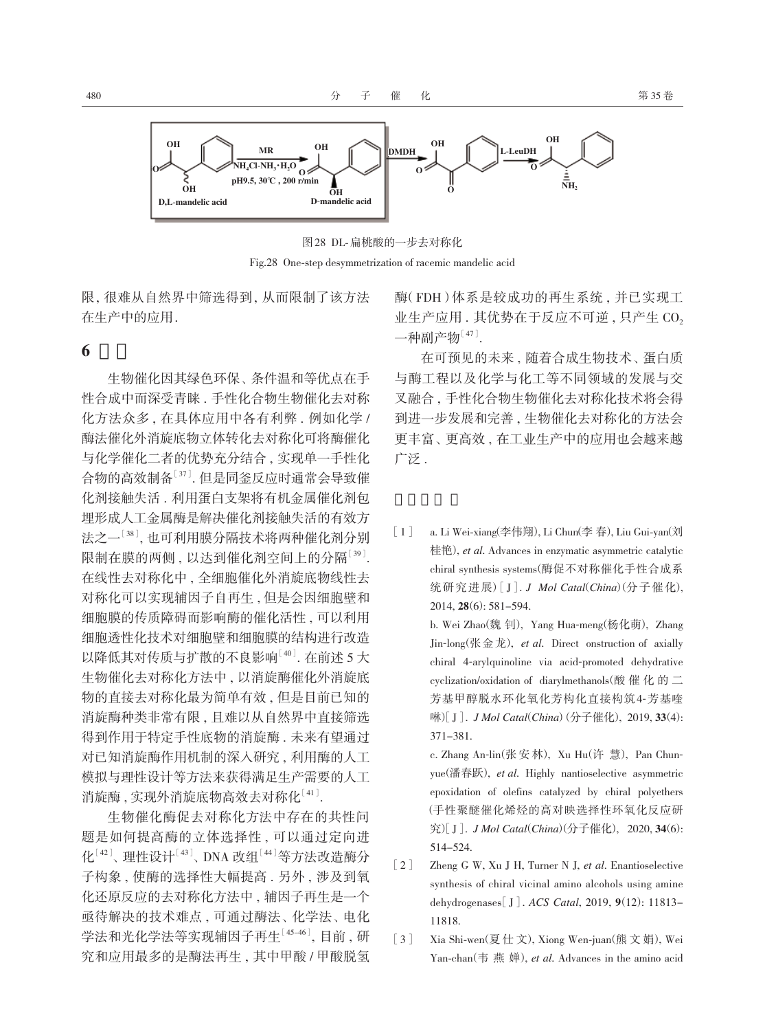

图 28 DL-扁桃酸的一步去对称化 Fig.28 One-step desymmetrization of racemic mandelic acid

限, 很难从自然界中筛选得到, 从而限制了该方法 在生产中的应用 .

### **6** 展望

生物催化因其绿色环保、条件温和等优点在手 性合成中而深受青睐 . 手性化合物生物催化去对称 化方法众多, 在具体应用中各有利弊. 例如化学 / 酶法催化外消旋底物立体转化去对称化可将酶催化 与化学催化二者的优势充分结合 , 实现单一手性化 合物的高效制备[37]. 但是同釜反应时通常会导致催 化剂接触失活 . 利用蛋白支架将有机金属催化剂包 埋形成人工金属酶是解决催化剂接触失活的有效方 法之一<sup>[38]</sup>, 也可利用膜分隔技术将两种催化剂分别 限制在膜的两侧 , 以达到催化剂空间上的分隔[39]. 在线性去对称化中 , 全细胞催化外消旋底物线性去 对称化可以实现辅因子自再生 , 但是会因细胞壁和 细胞膜的传质障碍而影响酶的催化活性 , 可以利用 细胞透性化技术对细胞壁和细胞膜的结构进行改造 以降低其对传质与扩散的不良影响[40]. 在前述 5 大 生物催化去对称化方法中 , 以消旋酶催化外消旋底 物的直接去对称化最为简单有效 , 但是目前已知的 消旋酶种类非常有限 , 且难以从自然界中直接筛选 得到作用于特定手性底物的消旋酶 . 未来有望通过 对已知消旋酶作用机制的深入研究 , 利用酶的人工 模拟与理性设计等方法来获得满足生产需要的人工 消旋酶,实现外消旋底物高效去对称化[41].

生物催化酶促去对称化方法中存在的共性问 题是如何提高酶的立体选择性 , 可以通过定向进 化 $[42]$ 、理性设计 $[43]$ 、 DNA 改组 $[44]$ 等方法改造酶分 子构象 , 使酶的选择性大幅提高 . 另外 , 涉及到氧 化还原反应的去对称化方法中 , 辅因子再生是一个 亟待解决的技术难点, 可通过酶法、化学法、电化 学法和光化学法等实现辅因子再生[45-46], 目前 , 研 究和应用最多的是酶法再生 , 其中甲酸 / 甲酸脱氢 酶(FDH)体系是较成功的再生系统 , 并已实现工 业生产应用. 其优势在于反应不可逆, 只产生 CO<sub>2</sub>  $-$ 种副产物 $[47]$ .

在可预见的未来 , 随着合成生物技术、 蛋白质 与酶工程以及化学与化工等不同领域的发展与交 叉融合 , 手性化合物生物催化去对称化技术将会得 到进一步发展和完善 , 生物催化去对称化的方法会 更丰富、 更高效 , 在工业生产中的应用也会越来越 广泛 .

[1] a. Li Wei-xiang(李伟翔), Li Chun(李 春), Liu Gui-yan(刘 桂艳), *et al*. Advances in enzymatic asymmetric catalytic chiral synthesis systems(酶促不对称催化手性合成系 统 研 究 进 展)[J]. *J Mol Catal*(*China*)(分 子 催 化), 2014, **28**(6): 581-594.

> b. Wei Zhao(魏 钊), Yang Hua-meng(杨化萌), Zhang Jin-long(张 金 龙), *et al*. Direct onstruction of axially chiral 4-arylquinoline via acid-promoted dehydrative cyclization/oxidation of diarylmethanols(酸 催 化 的 二 芳基甲醇脱水环化氧化芳构化直接构筑4-芳基喹 啉) [J]. *J Mol Catal*(*China*)(分子催化), 2019, **33**(4): 371-381.

> c. Zhang An-lin(张 安 林), Xu Hu(许 慧), Pan Chunyue(潘春跃), *et al*. Highly nantioselective asymmetric epoxidation of olefins catalyzed by chiral polyethers (手性聚醚催化烯烃的高对映选择性环氧化反应研 究) [J]. *J Mol Catal*(*China*)(分子催化), 2020, **34**(6): 514-524.

- [2] Zheng G W, Xu J H, Turner N J, *et al*. Enantioselective synthesis of chiral vicinal amino alcohols using amine dehydrogenases[J]. *ACS Catal*, 2019, **9**(12): 11813- 11818.
- [3] Xia Shi-wen(夏 仕 文), Xiong Wen-juan(熊 文 娟), Wei Yan-chan(韦 燕 婵), *et al*. Advances in the amino acid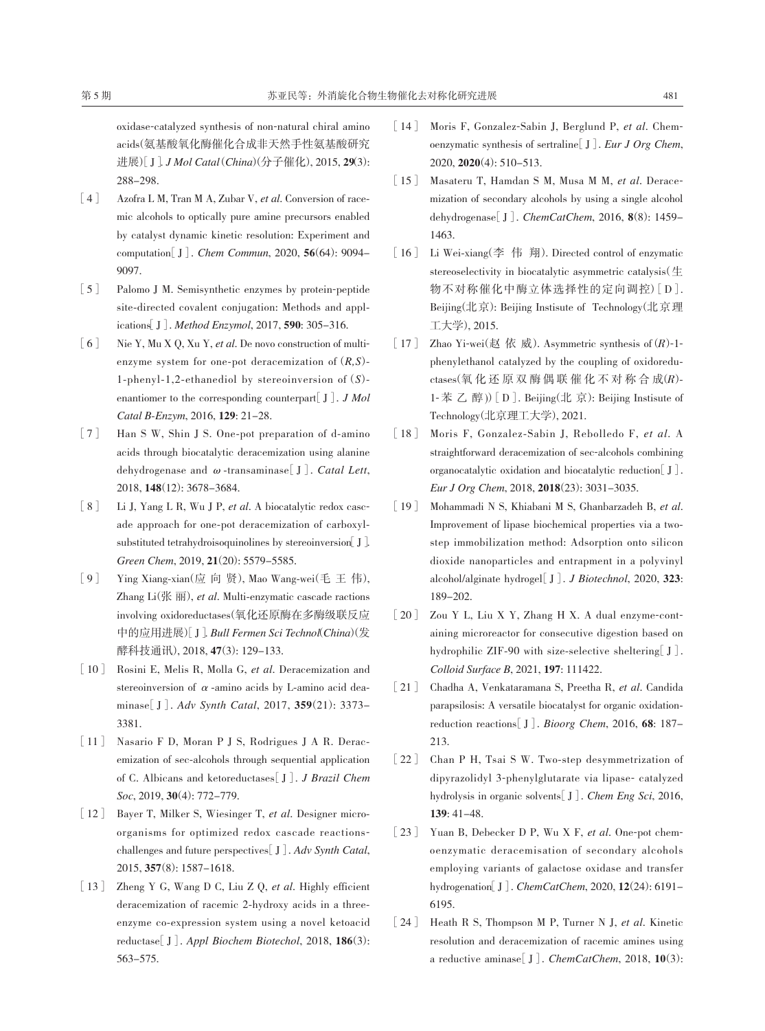oxidase-catalyzed synthesis of non-natural chiral amino acids(氨基酸氧化酶催化合成非天然手性氨基酸研究 进展)[J]. *J Mol Catal* (*China*)(分子催化), 2015, **29**(3): 288-298.

- [4] Azofra L M, Tran M A, Zubar V, *et al*. Conversion of racemic alcohols to optically pure amine precursors enabled by catalyst dynamic kinetic resolution: Experiment and computation[J]. *Chem Commun*, 2020, **56**(64): 9094- 9097.
- [5] Palomo J M. Semisynthetic enzymes by protein-peptide site-directed covalent conjugation: Methods and applications[J]. *Method Enzymol*, 2017, **590**: 305-316.
- [6] Nie Y, Mu X Q, Xu Y, *et al*. De novo construction of multienzyme system for one-pot deracemization of (*R,S*)- 1-phenyl-1,2-ethanediol by stereoinversion of (*S*) enantiomer to the corresponding counterpart[J]. *J Mol Catal B*-*Enzym*, 2016, **129**: 21-28.
- [7] Han S W, Shin J S. One-pot preparation of d-amino acids through biocatalytic deracemization using alanine dehydrogenase and ω-transaminase[J]. *Catal Lett*, 2018, **148**(12): 3678-3684.
- [8] Li J, Yang L R, Wu J P, *et al*. A biocatalytic redox cascade approach for one-pot deracemization of carboxylsubstituted tetrahydroisoquinolines by stereoinversion  $J$ . *Green Chem*, 2019, **21**(20): 5579-5585.
- [9] Ying Xiang-xian(应 向 贤), Mao Wang-wei(毛 王 伟), Zhang Li(张 丽), *et al*. Multi-enzymatic cascade ractions involving oxidoreductases(氧化还原酶在多酶级联反应 中的应用进展)[J]. *Bull Fermen Sci Technol*(*China*)(发 酵科技通讯), 2018, **47**(3): 129-133.
- [10] Rosini E, Melis R, Molla G, *et al*. Deracemization and stereoinversion of  $\alpha$ -amino acids by L-amino acid deaminase[J]. *Adv Synth Catal*, 2017, **359**(21): 3373- 3381.
- [11] Nasario F D, Moran P J S, Rodrigues J A R. Deracemization of sec-alcohols through sequential application of C. Albicans and ketoreductases[J]. *J Brazil Chem Soc*, 2019, **30**(4): 772-779.
- [12] Bayer T, Milker S, Wiesinger T, *et al*. Designer microorganisms for optimized redox cascade reactionschallenges and future perspectives[J]. *Adv Synth Catal*, 2015, **357**(8): 1587-1618.
- [13] Zheng Y G, Wang D C, Liu Z Q, *et al*. Highly efficient deracemization of racemic 2-hydroxy acids in a threeenzyme co-expression system using a novel ketoacid reductase[J]. *Appl Biochem Biotechol*, 2018, **186**(3): 563-575.
- [14] Moris F, Gonzalez-Sabin J, Berglund P, *et al*. Chemoenzymatic synthesis of sertraline[J]. *Eur J Org Chem*, 2020, **2020**(4): 510-513.
- [15] Masateru T, Hamdan S M, Musa M M, *et al*. Deracemization of secondary alcohols by using a single alcohol dehydrogenase[J]. *ChemCatChem*, 2016, **8**(8): 1459- 1463.
- [16] Li Wei-xiang(李 伟 翔). Directed control of enzymatic stereoselectivity in biocatalytic asymmetric catalysis $(\pm)$ 物不对称催化中酶立体选择性的定向调控)[D]. Beijing(北京): Beijing Instisute of Technology(北京理 工大学), 2015.
- [17] Zhao Yi-wei(赵 依 威). Asymmetric synthesis of  $(R)$ -1phenylethanol catalyzed by the coupling of oxidoredu $ctases$ (氧化还原双酶偶联催化不对称合成 $(R)$ -1- 苯 乙 醇 ))[D]. Beijing(北 京): Beijing Instisute of Technology(北京理工大学), 2021.
- [18] Moris F, Gonzalez-Sabin J, Rebolledo F, *et al*. A straightforward deracemization of sec-alcohols combining organocatalytic oxidation and biocatalytic reduction[J]. *Eur J Org Chem*, 2018, **2018**(23): 3031-3035.
- [19] Mohammadi N S, Khiabani M S, Ghanbarzadeh B, *et al*. Improvement of lipase biochemical properties via a twostep immobilization method: Adsorption onto silicon dioxide nanoparticles and entrapment in a polyvinyl alcohol/alginate hydrogel[J]. *J Biotechnol*, 2020, **323**: 189-202.
- [20] Zou Y L, Liu X Y, Zhang H X. A dual enzyme-containing microreactor for consecutive digestion based on hydrophilic ZIF-90 with size-selective sheltering[J]. *Colloid Surface B*, 2021, **197**: 111422.
- [21] Chadha A, Venkataramana S, Preetha R, *et al*. Candida parapsilosis: A versatile biocatalyst for organic oxidationreduction reactions[J]. *Bioorg Chem*, 2016, **68**: 187- 213.
- [22] Chan P H, Tsai S W. Two-step desymmetrization of dipyrazolidyl 3-phenylglutarate via lipase- catalyzed hydrolysis in organic solvents[J]. *Chem Eng Sci*, 2016, **139**: 41-48.
- [23] Yuan B, Debecker D P, Wu X F, *et al*. One-pot chemoenzymatic deracemisation of secondary alcohols employing variants of galactose oxidase and transfer hydrogenation[J]. *ChemCatChem*, 2020, **12**(24): 6191- 6195.
- [24] Heath R S, Thompson M P, Turner N J, *et al*. Kinetic resolution and deracemization of racemic amines using a reductive aminase[J]. *ChemCatChem*, 2018, **10**(3):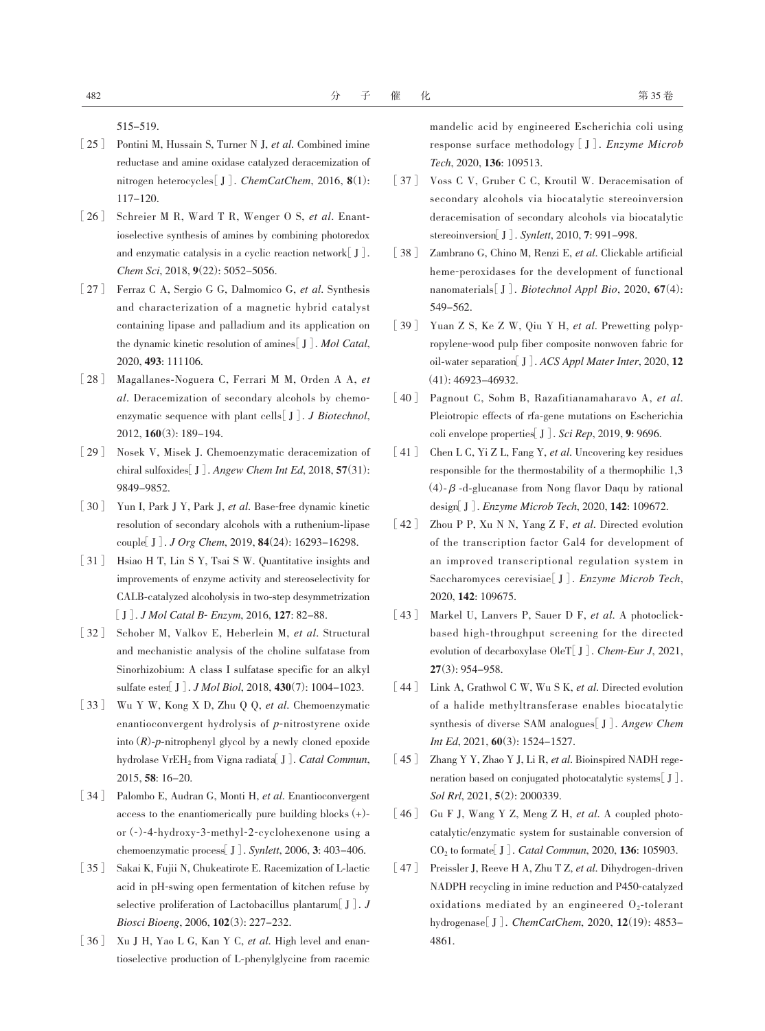515-519.

- [25] Pontini M, Hussain S, Turner N J, *et al*. Combined imine reductase and amine oxidase catalyzed deracemization of nitrogen heterocycles[J]. *ChemCatChem*, 2016, **8**(1): 117-120.
- [26] Schreier M R, Ward T R, Wenger O S, *et al*. Enantioselective synthesis of amines by combining photoredox and enzymatic catalysis in a cyclic reaction network  $[J]$ . *Chem Sci*, 2018, **9**(22): 5052-5056.
- [27] Ferraz C A, Sergio G G, Dalmomico G, *et al*. Synthesis and characterization of a magnetic hybrid catalyst containing lipase and palladium and its application on the dynamic kinetic resolution of amines[J]. *Mol Catal*, 2020, **493**: 111106.
- [28] Magallanes-Noguera C, Ferrari M M, Orden A A, *et al*. Deracemization of secondary alcohols by chemoenzymatic sequence with plant cells[J]. *J Biotechnol*, 2012, **160**(3): 189-194.
- [29] Nosek V, Misek J. Chemoenzymatic deracemization of chiral sulfoxides[J]. *Angew Chem Int Ed*, 2018, **57**(31): 9849-9852.
- [30] Yun I, Park J Y, Park J, *et al*. Base-free dynamic kinetic resolution of secondary alcohols with a ruthenium-lipase couple[J]. *J Org Chem*, 2019, **84**(24): 16293-16298.
- [31] Hsiao H T, Lin S Y, Tsai S W. Quantitative insights and improvements of enzyme activity and stereoselectivity for CALB-catalyzed alcoholysis in two-step desymmetrization [J]. *J Mol Catal B*- *Enzym*, 2016, **127**: 82-88.
- [32] Schober M, Valkov E, Heberlein M, *et al*. Structural and mechanistic analysis of the choline sulfatase from Sinorhizobium: A class I sulfatase specific for an alkyl sulfate ester[J]. *J Mol Biol*, 2018, **430**(7): 1004-1023.
- [33] Wu Y W, Kong X D, Zhu Q Q, *et al*. Chemoenzymatic enantioconvergent hydrolysis of *p*-nitrostyrene oxide into (*R*)-*p*-nitrophenyl glycol by a newly cloned epoxide hydrolase VrEH<sub>2</sub> from Vigna radiata<sup>[J]</sup>. *Catal Commun*, 2015, **58**: 16-20.
- [34] Palombo E, Audran G, Monti H, *et al*. Enantioconvergent access to the enantiomerically pure building blocks  $(+)$ or (-)-4-hydroxy-3-methyl-2-cyclohexenone using a chemoenzymatic process[J]. *Synlett*, 2006, **3**: 403-406.
- [35] Sakai K, Fujii N, Chukeatirote E. Racemization of L-lactic acid in pH-swing open fermentation of kitchen refuse by selective proliferation of Lactobacillus plantarum[J]. *J Biosci Bioeng*, 2006, **102**(3): 227-232.
- [36] Xu J H, Yao L G, Kan Y C, *et al*. High level and enantioselective production of L-phenylglycine from racemic

mandelic acid by engineered Escherichia coli using response surface methodology [J]. *Enzyme Microb Tech*, 2020, **136**: 109513.

- [37] Voss C V, Gruber C C, Kroutil W. Deracemisation of secondary alcohols via biocatalytic stereoinversion deracemisation of secondary alcohols via biocatalytic stereoinversion[J]. *Synlett*, 2010, **7**: 991-998.
- [38] Zambrano G, Chino M, Renzi E, *et al*. Clickable artificial heme-peroxidases for the development of functional nanomaterials[J]. *Biotechnol Appl Bio*, 2020, **67**(4): 549-562.
- [39] Yuan Z S, Ke Z W, Qiu Y H, *et al*. Prewetting polypropylene-wood pulp fiber composite nonwoven fabric for oil-water separation[J]. *ACS Appl Mater Inter*, 2020, **12** (41): 46923-46932.
- [40] Pagnout C, Sohm B, Razafitianamaharavo A, *et al*. Pleiotropic effects of rfa-gene mutations on Escherichia coli envelope properties[J]. *Sci Rep*, 2019, **9**: 9696.
- [41] Chen L C, Yi Z L, Fang Y, *et al*. Uncovering key residues responsible for the thermostability of a thermophilic 1,3 (4)-β-d-glucanase from Nong flavor Daqu by rational design[J]. *Enzyme Microb Tech*, 2020, **142**: 109672.
- [42] Zhou P P, Xu N N, Yang Z F, *et al*. Directed evolution of the transcription factor Gal4 for development of an improved transcriptional regulation system in Saccharomyces cerevisiae[J]. *Enzyme Microb Tech*, 2020, **142**: 109675.
- [43] Markel U, Lanvers P, Sauer D F, *et al*. A photoclickbased high-throughput screening for the directed evolution of decarboxylase OleT[J]. *Chem*-*Eur J*, 2021, **27**(3): 954-958.
- [44] Link A, Grathwol C W, Wu S K, *et al*. Directed evolution of a halide methyltransferase enables biocatalytic synthesis of diverse SAM analogues[J]. *Angew Chem Int Ed*, 2021, **60**(3): 1524-1527.
- [45] Zhang Y Y, Zhao Y J, Li R, *et al*. Bioinspired NADH regeneration based on conjugated photocatalytic systems[J]. *Sol Rrl*, 2021, **5**(2): 2000339.
- [46] Gu F J, Wang Y Z, Meng Z H, *et al*. A coupled photocatalytic/enzymatic system for sustainable conversion of CO2 to formate[J]. *Catal Commun*, 2020, **136**: 105903.
- [47] Preissler J, Reeve H A, Zhu T Z, *et al*. Dihydrogen-driven NADPH recycling in imine reduction and P450-catalyzed oxidations mediated by an engineered  $0$ -tolerant hydrogenase[J]. *ChemCatChem*, 2020, **12**(19): 4853- 4861.